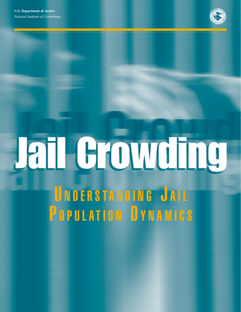

# **Jail Growding** UNDERSTANDING JAIL

POPULATION DYNAMICS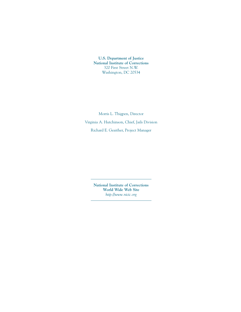**U.S. Department of Justice National Institute of Corrections** 320 First Street N.W. Washington, DC 20534

Morris L. Thigpen, Director Virginia A. Hutchinson, Chief, Jails Division Richard E. Geaither, Project Manager

> **National Institute of Corrections World Wide Web Site** *http://www.nicic.org*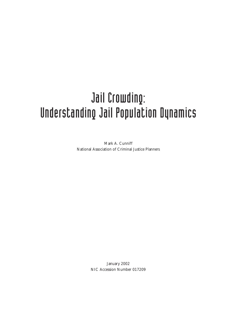# Jail Crowding: Understanding Jail Population Dynamics

Mark A. Cunniff National Association of Criminal Justice Planners

> January 2002 NIC Accession Number 017209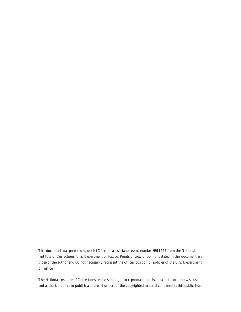This document was prepared under NIC technical assistance event number 99J1225 from the National Institute of Corrections, U.S. Department of Justice. Points of view or opinions stated in this document are those of the author and do not necessarily represent the official position or policies of the U.S. Department of Justice.

The National Institute of Corrections reserves the right to reproduce, publish, translate, or otherwise use and authorize others to publish and use all or part of the copyrighted material contained in this publication.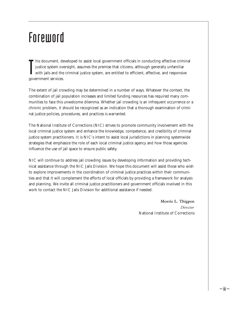# Foreword

**T** his document, de<br>justice system over<br>with jails and the<br>government services. **his document, developed to assist local government officials in conducting effective criminal** justice system oversight, assumes the premise that citizens, although generally unfamiliar with jails and the criminal justice system, are entitled to efficient, effective, and responsive

The extent of jail crowding may be determined in a number of ways. Whatever the context, the combination of jail population increases and limited funding resources has required many communities to face this unwelcome dilemma. Whether jail crowding is an infrequent occurrence or a chronic problem, it should be recognized as an indication that a thorough examination of criminal justice policies, procedures, and practices is warranted.

The National Institute of Corrections (NIC) strives to promote community involvement with the local criminal justice system and enhance the knowledge, competence, and credibility of criminal justice system practitioners. It is NIC's intent to assist local jurisdictions in planning systemwide strategies that emphasize the role of each local criminal justice agency and how those agencies influence the use of jail space to ensure public safety.

NIC will continue to address jail crowding issues by developing information and providing technical assistance through the NIC Jails Division. We hope this document will assist those who wish to explore improvements in the coordination of criminal justice practices within their communities and that it will complement the efforts of local officials by providing a framework for analysis and planning. We invite all criminal justice practitioners and government officials involved in this work to contact the NIC Jails Division for additional assistance if needed.

> **Morris L. Thigpen** *Director* National Institute of Corrections

> > – iii –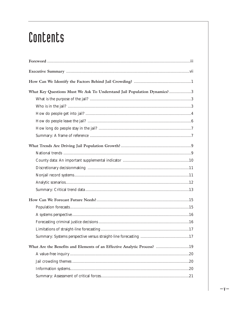# Contents

| What Key Questions Must We Ask To Understand Jail Population Dynamics?3 |
|-------------------------------------------------------------------------|
|                                                                         |
|                                                                         |
|                                                                         |
|                                                                         |
|                                                                         |
|                                                                         |
|                                                                         |
|                                                                         |
|                                                                         |
|                                                                         |
|                                                                         |
|                                                                         |
|                                                                         |
|                                                                         |
|                                                                         |
|                                                                         |
|                                                                         |
|                                                                         |
|                                                                         |
| What Are the Benefits and Elements of an Effective Analytic Process? 19 |
|                                                                         |
|                                                                         |
|                                                                         |
|                                                                         |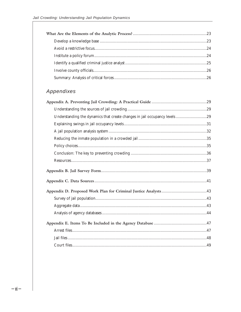### Appendixes

| Understanding the dynamics that create changes in jail occupancy levels 29 |  |
|----------------------------------------------------------------------------|--|
|                                                                            |  |
|                                                                            |  |
|                                                                            |  |
|                                                                            |  |
|                                                                            |  |
|                                                                            |  |
|                                                                            |  |
|                                                                            |  |
|                                                                            |  |
|                                                                            |  |
|                                                                            |  |
|                                                                            |  |
|                                                                            |  |
|                                                                            |  |
|                                                                            |  |
|                                                                            |  |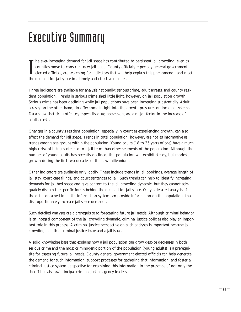# Executive Summary

The ever-increasing demand for jail space has contribute counties move to construct new jail beds. County office elected officials, are searching for indicators that will have the demand for jail space in a timely and effe he ever-increasing demand for jail space has contributed to persistent jail crowding, even as counties move to construct new jail beds. County officials, especially general government elected officials, are searching for indicators that will help explain this phenomenon and meet

Three indicators are available for analysis nationally: serious crime, adult arrests, and county resident population. Trends in serious crime shed little light, however, on jail population growth. Serious crime has been declining while jail populations have been increasing substantially. Adult arrests, on the other hand, do offer some insight into the growth pressures on local jail systems. Data show that drug offenses, especially drug possession, are a major factor in the increase of adult arrests.

Changes in a county's resident population, especially in counties experiencing growth, can also affect the demand for jail space. Trends in total population, however, are not as informative as trends among age groups within the population. Young adults (18 to 35 years of age) have a much higher risk of being sentenced to a jail term than other segments of the population. Although the number of young adults has recently declined, this population will exhibit steady, but modest, growth during the first two decades of the new millennium.

Other indicators are available only locally. These include trends in jail bookings, average length of jail stay, court case filings, and court sentences to jail. Such trends can help to identify increasing demands for jail bed space and give context to the jail crowding dynamic, but they cannot adequately discern the specific forces behind the demand for jail space. Only a detailed analysis of the data contained in a jail's information system can provide information on the populations that disproportionately increase jail space demands.

Such detailed analyses are a prerequisite to forecasting future jail needs. Although criminal behavior is an integral component of the jail crowding dynamic, criminal justice policies also play an important role in this process. A criminal justice perspective on such analyses is important because jail crowding is both a criminal justice issue and a jail issue.

A solid knowledge base that explains how a jail population can grow despite decreases in both serious crime and the most criminogenic portion of the population (young adults) is a prerequisite for assessing future jail needs. County general government elected officials can help generate the demand for such information, support processes for gathering that information, and foster a criminal justice system perspective for examining this information in the presence of not only the sheriff but also *all* principal criminal justice agency leaders.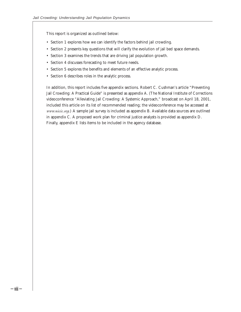This report is organized as outlined below:

- Section 1 explores how we can identify the factors behind jail crowding.
- Section 2 presents key questions that will clarify the evolution of jail bed space demands.
- Section 3 examines the trends that are driving jail population growth.
- Section 4 discusses forecasting to meet future needs.
- Section 5 explores the benefits and elements of an effective analytic process.
- Section 6 describes roles in the analytic process.

In addition, this report includes five appendix sections. Robert C. Cushman's article "Preventing Jail Crowding: A Practical Guide" is presented as appendix A. (The National Institute of Corrections videoconference "Alleviating Jail Crowding: A Systemic Approach," broadcast on April 18, 2001, included this article on its list of recommended reading; the videoconference may be accessed at *www.nicic.org.*) A sample jail survey is included as appendix B. Available data sources are outlined in appendix C. A proposed work plan for criminal justice analysts is provided as appendix D. Finally, appendix E lists items to be included in the agency database.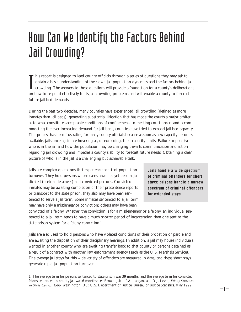# How Can We Identify the Factors Behind Jail Crowding?

It is report is designed to lead county officials through a series of questions they may ask to obtain a basic understanding of their own jail population dynamics and the factors behind journal crowding. The answers to the his report is designed to lead county officials through a series of questions they may ask to obtain a basic understanding of their own jail population dynamics and the factors behind jail crowding. The answers to these questions will provide a foundation for a county's deliberations future jail bed demands.

During the past two decades, many counties have experienced jail crowding (defined as more inmates than jail beds), generating substantial litigation that has made the courts a major arbiter as to what constitutes acceptable conditions of confinement. In meeting court orders and accommodating the ever-increasing demand for jail beds, counties have tried to expand jail bed capacity. This process has been frustrating for many county officials because as soon as new capacity becomes available, jails once again are hovering at, or exceeding, their capacity limits. Failure to perceive who is in the jail and how the population may be changing thwarts communication and action regarding jail crowding and impedes a county's ability to forecast future needs. Obtaining a clear picture of who is in the jail is a challenging but achievable task.

Jails are complex operations that experience constant population turnover. They hold persons whose cases have not yet been adjudicated (pretrial detainees) and convicted persons. Convicted inmates may be awaiting completion of their presentence reports or transport to the state prison; they also may have been sentenced to serve a jail term. Some inmates sentenced to a jail term may have only a misdemeanor conviction; others may have been

**Jails handle a wide spectrum of criminal offenders for short stays; prisons handle a narrow spectrum of criminal offenders for extended stays.**

– 1 –

convicted of a felony. Whether the conviction is for a misdemeanor or a felony, an individual sentenced to a jail term tends to have a much shorter period of incarceration than one sent to the state prison system for a felony conviction.<sup>1</sup>

Jails are also used to hold persons who have violated conditions of their probation or parole and are awaiting the disposition of their disciplinary hearings. In addition, a jail may house individuals wanted in another county who are awaiting transfer back to that county or persons detained as a result of a contract with another law enforcement agency (such as the U.S. Marshals Service). The average jail stays for this wide variety of offenders are measured in days, and these short stays generate rapid jail population turnover.

<sup>1.</sup> The average term for persons sentenced to state prison was 39 months, and the average term for convicted felons sentenced to county jail was 6 months; see Brown, J.M., P.A. Langan, and D.J. Levin, *Felony Sentences in State Courts, 1996,* Washington, DC: U.S. Department of Justice, Bureau of Justice Statistics, May 1999.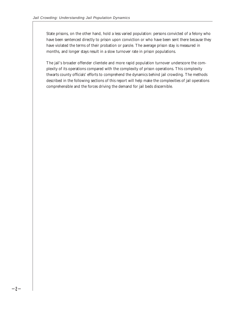State prisons, on the other hand, hold a less varied population: persons convicted of a felony who have been sentenced directly to prison upon conviction or who have been sent there because they have violated the terms of their probation or parole. The average prison stay is measured in months, and longer stays result in a slow turnover rate in prison populations.

The jail's broader offender clientele and more rapid population turnover underscore the complexity of its operations compared with the complexity of prison operations. This complexity thwarts county officials' efforts to comprehend the dynamics behind jail crowding. The methods described in the following sections of this report will help make the complexities of jail operations comprehensible and the forces driving the demand for jail beds discernible.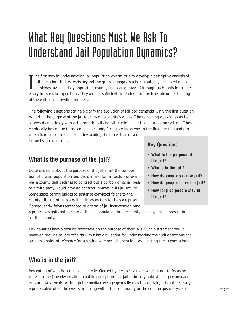# What Key Questions Must We Ask To Understand Jail Population Dynamics?

The first step in understanding jail population dynamics is to develop a descriptive analysis of jail operations that extends beyond the gross aggregate statistics routinely generated on jail bookings, average daily popula he first step in understanding jail population dynamics is to develop a descriptive analysis of jail operations that extends beyond the gross aggregate statistics routinely generated on jail bookings, average daily population counts, and average stays. Although such statistics are necof the entire jail crowding problem.

The following questions can help clarify the evolution of jail bed demands. Only the first question exploring the purpose of the jail touches on a county's values. The remaining questions can be answered empirically with data from the jail and other criminal justice information systems. These empirically based questions can help a county formulate its answer to the first question and provide a frame of reference for understanding the forces that create

jail bed space demands.

### **What is the purpose of the jail?**

Local decisions about the purpose of the jail affect the composition of the jail population and the demand for jail beds. For example, a county that declines to contract out a portion of its jail beds to a third party would have no contract inmates in its jail facility. Some states permit judges to sentence convicted felons to the county jail, and other states limit incarceration to the state prison. Consequently, felons sentenced to a term of jail incarceration may

#### **Key Questions**

- **What is the purpose of the jail?**
- **Who is in the jail?**
- **How do people get into jail?**
- **How do people leave the jail?**
- **How long do people stay in the jail?**

represent a significant portion of the jail population in one county but may not be present in another county.

Few counties have a detailed statement on the purpose of their jails. Such a statement would, however, provide county officials with a basic blueprint for understanding their jail operations and serve as a point of reference for assessing whether jail operations are meeting their expectations.

#### **Who is in the jail?**

Perception of who is in the jail is heavily affected by media coverage, which tends to focus on violent crime (thereby creating a public perception that jails primarily hold violent persons) and extraordinary events. Although the media coverage generally may be accurate, it is not generally representative of all the events occurring within the community or the criminal justice system.  $\begin{array}{c} \n -3 \rightarrow \n \end{array}$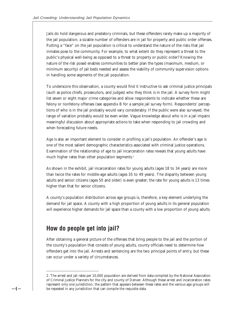Jails do hold dangerous and predatory criminals, but these offenders rarely make up a majority of the jail population; a sizable number of offenders are in jail for property and public order offenses. Putting a "face" on the jail population is critical to understand the nature of the risks that jail inmates pose to the community. For example, to what extent do they represent a threat to the public's physical well-being as opposed to a threat to property or public order? Knowing the nature of the risk posed enables communities to better plan the types (maximum, medium, or minimum security) of jail beds needed and assess the viability of community supervision options in handling some segments of the jail population.

To underscore this observation, a county would find it instructive to ask criminal justice principals (such as police chiefs, prosecutors, and judges) who they think is in the jail. A survey form might list seven or eight major crime categories and allow respondents to indicate whether these are felony or nonfelony offenses (see appendix B for a sample jail survey form). Respondents' perceptions of who is in the jail probably would vary considerably. If the public were also surveyed, the range of variation probably would be even wider. Vague knowledge about who is in a jail impairs meaningful discussion about appropriate actions to take when responding to jail crowding and when forecasting future needs.

Age is also an important element to consider in profiling a jail's population. An offender's age is one of the most salient demographic characteristics associated with criminal justice operations. Examination of the relationship of age to jail incarceration rates reveals that young adults have much higher rates than other population segments.<sup>2</sup>

As shown in the exhibit, jail incarceration rates for young adults (ages 18 to 34 years) are more than twice the rates for middle-age adults (ages 35 to 49 years). The disparity between young adults and senior citizens (ages 50 and older) is even greater; the rate for young adults is 13 times higher than that for senior citizens.

A county's population distribution across age groups is, therefore, a key element underlying the demand for jail space. A county with a high proportion of young adults in its general population will experience higher demands for jail space than a county with a low proportion of young adults.

### **How do people get into jail?**

 $-4-$ 

After obtaining a general picture of the offenses that bring people to the jail and the portion of the county's population that consists of young adults, county officials need to determine how offenders get into the jail. Arrests and sentencing are the two principal points of entry, but these can occur under a variety of circumstances.

<sup>2.</sup> The arrest and jail rates per 10,000 population are derived from data compiled by the National Association of Criminal Justice Planners for the city and county of Denver. Although these arrest and incarceration rates represent only one jurisdiction, the pattern that appears between these rates and the various age groups will be repeated in any jurisdiction that can compile the requisite data.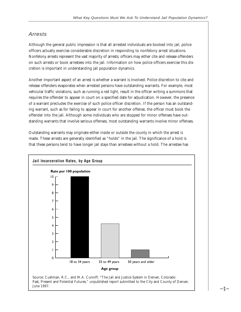#### Arrests

Although the general public impression is that all arrested individuals are booked into jail, police officers actually exercise considerable discretion in responding to nonfelony arrest situations. Nonfelony arrests represent the vast majority of arrests; officers may either cite and release offenders on such arrests or book arrestees into the jail. Information on how police officers exercise this discretion is important in understanding jail population dynamics.

Another important aspect of an arrest is whether a warrant is involved. Police discretion to cite and release offenders evaporates when arrested persons have outstanding warrants. For example, most vehicular traffic violations, such as running a red light, result in the officer writing a summons that requires the offender to appear in court on a specified date for adjudication. However, the presence of a warrant precludes the exercise of such police officer discretion. If the person has an outstanding warrant, such as for failing to appear in court for another offense, the officer must book the offender into the jail. Although some individuals who are stopped for minor offenses have outstanding warrants that involve serious offenses, most outstanding warrants involve minor offenses.

Outstanding warrants may originate either inside or outside the county in which the arrest is made. These arrests are generally identified as "holds" in the jail. The significance of a hold is that these persons tend to have longer jail stays than arrestees without a hold. The arrestee has

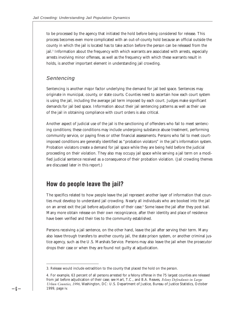to be processed by the agency that initiated the hold before being considered for release. This process becomes even more complicated with an out-of-county hold because an official outside the county in which the jail is located has to take action before the person can be released from the jail.<sup>3</sup> Information about the frequency with which warrants are associated with arrests, especially arrests involving minor offenses, as well as the frequency with which these warrants result in holds, is another important element in understanding jail crowding.

#### Sentencing

 $-6-$ 

Sentencing is another major factor underlying the demand for jail bed space. Sentences may originate in municipal, county, or state courts. Counties need to ascertain how each court system is using the jail, including the average jail term imposed by each court. Judges make significant demands for jail bed space. Information about their jail sentencing patterns as well as their use of the jail in obtaining compliance with court orders is also critical.

Another aspect of judicial use of the jail is the sanctioning of offenders who fail to meet sentencing conditions; these conditions may include undergoing substance abuse treatment, performing community service, or paying fines or other financial assessments. Persons who fail to meet courtimposed conditions are generally identified as "probation violators" in the jail's information system. Probation violators create a demand for jail space while they are being held before the judicial proceeding on their violation. They also may occupy jail space while serving a jail term on a modified judicial sentence received as a consequence of their probation violation. (Jail crowding themes are discussed later in this report.)

#### **How do people leave the jail?**

The specifics related to how people leave the jail represent another layer of information that counties must develop to understand jail crowding. Nearly all individuals who are booked into the jail on an arrest exit the jail before adjudication of their case.4 Some leave the jail after they post bail. Many more obtain release on their own recognizance, after their identity and place of residence have been verified and their ties to the community established.

Persons receiving a jail sentence, on the other hand, leave the jail after serving their term. Many also leave through transfers to another county jail, the state prison system, or another criminal justice agency, such as the U.S. Marshals Service. Persons may also leave the jail when the prosecutor drops their case or when they are found not guilty at adjudication.

<sup>3.</sup> Release would include extradition to the county that placed the hold on the person.

<sup>4.</sup> For example, 63 percent of all persons arrested for a felony offense in the 75 largest counties are released from jail before adjudication of their case; see Hart, T.C., and B.A. Reaves, *Felony Defendants in Large Urban Counties, 1996,* Washington, DC: U.S. Department of Justice, Bureau of Justice Statistics, October 1999, page iv.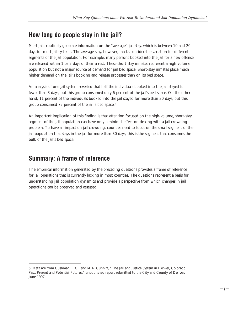### **How long do people stay in the jail?**

Most jails routinely generate information on the "average" jail stay, which is between 10 and 20 days for most jail systems. The average stay, however, masks considerable variation for different segments of the jail population. For example, many persons booked into the jail for a new offense are released within 1 or 2 days of their arrest. These short-stay inmates represent a high-volume population but not a major source of demand for jail bed space. Short-stay inmates place much higher demand on the jail's booking and release processes than on its bed space.

An analysis of one jail system revealed that half the individuals booked into the jail stayed for fewer than 3 days, but this group consumed only 6 percent of the jail's bed space. On the other hand, 11 percent of the individuals booked into the jail stayed for more than 30 days, but this group consumed 72 percent of the jail's bed space.<sup>5</sup>

An important implication of this finding is that attention focused on the high-volume, short-stay segment of the jail population can have only a minimal effect on dealing with a jail crowding problem. To have an impact on jail crowding, counties need to focus on the small segment of the jail population that stays in the jail for more than 30 days; this is the segment that consumes the bulk of the jail's bed space.

### **Summary: A frame of reference**

The empirical information generated by the preceding questions provides a frame of reference for jail operations that is currently lacking in most counties. The questions represent a basis for understanding jail population dynamics and provide a perspective from which changes in jail operations can be observed and assessed.

<sup>5.</sup> Data are from Cushman, R.C., and M.A. Cunniff, "The Jail and Justice System in Denver, Colorado: Past, Present and Potential Futures," unpublished report submitted to the City and County of Denver, June 1997.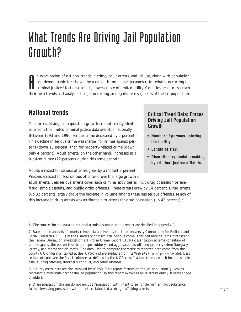# What Trends Are Driving Jail Population Growth?

In examination of national trends in crime, adult arrests, and jail use, along with population and demographic trends, will help establish some basic parameters for what is occurring in criminal justice.<sup>8</sup> National trends n examination of national trends in crime, adult arrests, and jail use, along with population and demographic trends, will help establish some basic parameters for what is occurring in criminal justice.<sup>6</sup> National trends, however, are of limited utility. Counties need to ascertain

# **National trends**

The forces driving jail population growth are not readily identifiable from the limited criminal justice data available nationally. Between 1993 and 1996, serious crime decreased by 5 percent.<sup>7</sup> This decline in serious crime was sharper for crimes against persons (down 13 percent) than for property-related crime (down only 4 percent). Adult arrests, on the other hand, increased at a substantial rate (12 percent) during this same period.<sup>8</sup>

#### **Critical Trend Data: Forces Driving Jail Population Growth**

- **Number of persons entering the facility.**
- **Length of stay.**
- **Discretionary decisionmaking by criminal justice officials.**

Adults arrested for serious offenses grew by a modest 3 percent. Persons arrested for less serious offenses drove the large growth in

adult arrests. Less serious arrests cover such criminal activities as illicit drug possession or sale, fraud, simple assaults, and public order offenses. These arrests grew by 14 percent. Drug arrests (up 32 percent) largely drove the increase in volume among these less serious offenses. Much of this increase in drug arrests was attributable to arrests for drug possession (up 42 percent).<sup>9</sup>

<sup>6.</sup> The sources for the data on national trends discussed in this report are detailed in appendix C.

<sup>7.</sup> Based on an analysis of county crime data archived by the Inter-university Consortium for Political and Social Research (ICPSR) at the University of Michigan. Serious crime is defined here as Part I offenses of the Federal Bureau of Investigation's Uniform Crime Report (UCR) classification scheme consisting of crimes against the person (homicide, rape, robbery, and aggravated assault) and property crime (burglary, larceny, and motor vehicle theft). The data used to compute the statistics reported here come from the county UCR files maintained at the ICPSR and are available from its Web site (*www.icpsr.umich.edu*). Less serious offenses are the Part II offenses as defined by the UCR classification scheme, which include simple assault, drug offenses, disorderly conduct, and other offenses.

<sup>8.</sup> County arrest data are also archived by ICPSR. This report focuses on the jail population. Juveniles represent a minuscule part of the jail population, so this report examines adult arrests only (18 years of age or older).

<sup>9.</sup> Drug possession charges do not include "possession with intent to sell or deliver" an illicit substance. Arrests involving possession with intent are tabulated as drug trafficking arrests.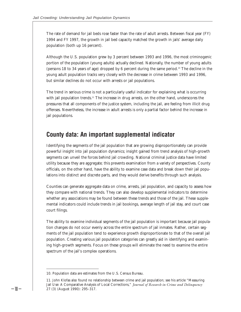The rate of demand for jail beds rose faster than the rate of adult arrests. Between fiscal year (FY) 1994 and FY 1997, the growth in jail bed capacity matched the growth in jails' average daily population (both up 16 percent).

Although the U.S. population grew by 3 percent between 1993 and 1996, the most criminogenic portion of the population (young adults) actually declined. Nationally, the number of young adults (persons 18 to 34 years of age) dropped by 6 percent during the same period.10 The decline in the young adult population tracks very closely with the decrease in crime between 1993 and 1996, but similar declines do not occur with arrests or jail populations.

The trend in serious crime is not a particularly useful indicator for explaining what is occurring with jail population trends.<sup>11</sup> The increase in drug arrests, on the other hand, underscores the pressures that all components of the justice system, including the jail, are feeling from illicit drug offenses. Nevertheless, the increase in adult arrests is only a partial factor behind the increase in jail populations.

### **County data: An important supplemental indicator**

Identifying the segments of the jail population that are growing disproportionately can provide powerful insight into jail population dynamics; insight gained from trend analysis of high-growth segments can unveil the forces behind jail crowding. National criminal justice data have limited utility because they are aggregate; this prevents examination from a variety of perspectives. County officials, on the other hand, have the ability to examine case data and break down their jail populations into distinct and discrete parts, and they would derive benefits through such analysis.

Counties can generate aggregate data on crime, arrests, jail population, and capacity to assess how they compare with national trends. They can also develop supplemental indicators to determine whether any associations may be found between these trends and those of the jail. These supplemental indicators could include trends in jail bookings, average length of jail stay, and court case court filings.

The ability to examine individual segments of the jail population is important because jail population changes do not occur evenly across the entire spectrum of jail inmates. Rather, certain segments of the jail population tend to experience growth disproportionate to that of the overall jail population. Creating various jail population categories can greatly aid in identifying and examining high-growth segments. Focus on these groups will eliminate the need to examine the entire spectrum of the jail's complex operations.

 $-10-$ 

<sup>10.</sup> Population data are estimates from the U.S. Census Bureau.

<sup>11.</sup> John Klofas also found no relationship between crime and jail population; see his article "Measuring Jail Use: A Comparative Analysis of Local Corrections," *Journal of Research in Crime and Delinquency* 27 (3) (August 1990): 295–317.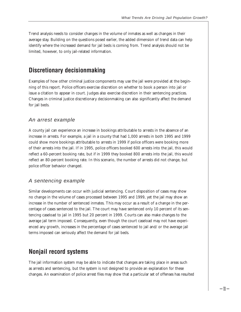Trend analysis needs to consider changes in the volume of inmates as well as changes in their average stay. Building on the questions posed earlier, the added dimension of trend data can help identify where the increased demand for jail beds is coming from. Trend analysis should not be limited, however, to only jail-related information.

#### **Discretionary decisionmaking**

Examples of how other criminal justice components may use the jail were provided at the beginning of this report. Police officers exercise discretion on whether to book a person into jail or issue a citation to appear in court. Judges also exercise discretion in their sentencing practices. Changes in criminal justice discretionary decisionmaking can also significantly affect the demand for jail beds.

#### An arrest example

A county jail can experience an increase in bookings attributable to arrests in the absence of an increase in arrests. For example, a jail in a county that had 1,000 arrests in both 1995 and 1999 could show more bookings attributable to arrests in 1999 if police officers were booking more of their arrests into the jail. If in 1995, police officers booked 600 arrests into the jail, this would reflect a 60-percent booking rate, but if in 1999 they booked 800 arrests into the jail, this would reflect an 80-percent booking rate. In this scenario, the number of arrests did not change, but police officer behavior changed.

#### A sentencing example

Similar developments can occur with judicial sentencing. Court disposition of cases may show no change in the volume of cases processed between 1995 and 1999, yet the jail may show an increase in the number of sentenced inmates. This may occur as a result of a change in the percentage of cases sentenced to the jail. The court may have sentenced only 10 percent of its sentencing caseload to jail in 1995 but 20 percent in 1999. Courts can also make changes to the average jail term imposed. Consequently, even though the court caseload may not have experienced any growth, increases in the percentage of cases sentenced to jail and/or the average jail terms imposed can seriously affect the demand for jail beds.

#### **Nonjail record systems**

The jail information system may be able to indicate that changes are taking place in areas such as arrests and sentencing, but the system is not designed to provide an explanation for these changes. An examination of police arrest files may show that a particular set of offenses has resulted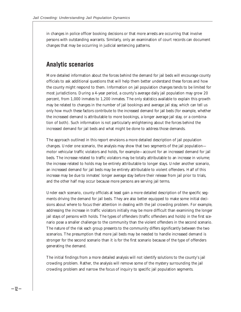in changes in police officer booking decisions or that more arrests are occurring that involve persons with outstanding warrants. Similarly, only an examination of court records can document changes that may be occurring in judicial sentencing patterns.

# **Analytic scenarios**

More detailed information about the forces behind the demand for jail beds will encourage county officials to ask additional questions that will help them better understand these forces and how the county might respond to them. Information on jail population changes tends to be limited for most jurisdictions. During a 4-year period, a county's average daily jail population may grow 20 percent, from 1,000 inmates to 1,200 inmates. The only statistics available to explain this growth may be related to changes in the number of jail bookings and average jail stay, which can tell us only how much these factors contribute to the increased demand for jail beds (for example, whether the increased demand is attributable to more bookings, a longer average jail stay, or a combination of both). Such information is not particularly enlightening about the forces behind the increased demand for jail beds and what might be done to address those demands.

The approach outlined in this report envisions a more detailed description of jail population changes. Under one scenario, the analysis may show that two segments of the jail population motor vehicular traffic violators and holds, for example—account for an increased demand for jail beds. The increase related to traffic violators may be totally attributable to an increase in volume; the increase related to holds may be entirely attributable to longer stays. Under another scenario, an increased demand for jail beds may be entirely attributable to violent offenders. Half of this increase may be due to inmates' longer average stay before their release from jail prior to trials, and the other half may occur because more persons are serving jail terms.

Under each scenario, county officials at least gain a more detailed description of the specific segments driving the demand for jail beds. They are also better equipped to make some initial decisions about where to focus their attention in dealing with the jail crowding problem. For example, addressing the increase in traffic violators initially may be more difficult than examining the longer jail stays of persons with holds. The types of offenders (traffic offenders and holds) in the first scenario pose a smaller challenge to the community than the violent offenders in the second scenario. The nature of the risk each group presents to the community differs significantly between the two scenarios. The presumption that more jail beds may be needed to handle increased demand is stronger for the second scenario than it is for the first scenario because of the type of offenders generating the demand.

The initial findings from a more detailed analysis will not identify solutions to the county's jail crowding problem. Rather, the analysis will remove some of the mystery surrounding the jail crowding problem and narrow the focus of inquiry to specific jail population segments.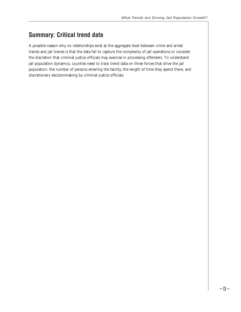# **Summary: Critical trend data**

A possible reason why no relationships exist at the aggregate level between crime and arrest trends and jail trends is that the data fail to capture the complexity of jail operations or consider the discretion that criminal justice officials may exercise in processing offenders. To understand jail population dynamics, counties need to track trend data on three forces that drive the jail population: the number of persons entering the facility, the length of time they spend there, and discretionary decisionmaking by criminal justice officials.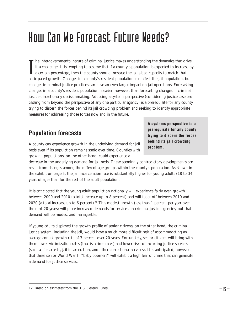# How Can We Forecast Future Needs?

In the intergovernmental nature of criminal justice makes understanding the dynamics that drive<br>it a challenge. It is tempting to assume that if a county's population is expected to increase to<br>a certain percentage, then t he intergovernmental nature of criminal justice makes understanding the dynamics that drive it a challenge. It is tempting to assume that if a county's population is expected to increase by a certain percentage, then the county should increase the jail's bed capacity to match that changes in criminal justice practices can have an even larger impact on jail operations. Forecasting changes in a county's resident population is easier, however, than forecasting changes in criminal justice discretionary decisionmaking. Adopting a systems perspective (considering justice case processing from beyond the perspective of any one particular agency) is a prerequisite for any county trying to discern the forces behind its jail crowding problem and seeking to identify appropriate measures for addressing those forces now and in the future.

# **Population forecasts**

A county can experience growth in the underlying demand for jail beds even if its population remains static over time. Counties with growing populations, on the other hand, could experience a

**A systems perspective is a prerequisite for any county trying to discern the forces behind its jail crowding problem.**

decrease in the underlying demand for jail beds. These seemingly contradictory developments can result from changes among the different age groups within the county's population. As shown in the exhibit on page 5, the jail incarceration rate is substantially higher for young adults (18 to 34 years of age) than for the rest of the adult population.

It is anticipated that the young adult population nationally will experience fairly even growth between 2000 and 2010 (a total increase up to 8 percent) and will taper off between 2010 and 2020 (a total increase up to 6 percent).<sup>12</sup> This modest growth (less than 1 percent per year over the next 20 years) will place increased demands for services on criminal justice agencies, but that demand will be modest and manageable.

If young adults displayed the growth profile of senior citizens, on the other hand, the criminal justice system, including the jail, would have a much more difficult task of accommodating an average annual growth rate of 3 percent over 20 years. Fortunately, senior citizens will bring with them lower victimization rates (that is, crime rates) and lower risks of incurring justice services (such as for arrests, jail incarceration, and other correctional services). It is anticipated, however, that these senior World War II "baby boomers" will exhibit a high fear of crime that can generate a demand for justice services.

<sup>12.</sup> Based on estimates from the U.S. Census Bureau.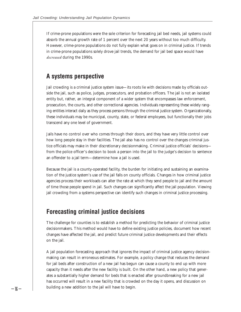If crime-prone populations were the sole criterion for forecasting jail bed needs, jail systems could absorb the annual growth rate of 1 percent over the next 20 years without too much difficulty. However, crime-prone populations do not fully explain what goes on in criminal justice. If trends in crime-prone populations solely drove jail trends, the demand for jail bed space would have *decreased* during the 1990s.

#### **A systems perspective**

Jail crowding is a criminal justice system issue—its roots lie with decisions made by officials outside the jail, such as police, judges, prosecutors, and probation officers. The jail is not an isolated entity but, rather, an integral component of a wider system that encompasses law enforcement, prosecution, the courts, and other correctional agencies. Individuals representing these widely ranging entities interact daily as they process persons through the criminal justice system. Organizationally, these individuals may be municipal, county, state, or federal employees, but functionally their jobs transcend any one level of government.

Jails have no control over who comes through their doors, and they have very little control over how long people stay in their facilities. The jail also has no control over the changes criminal justice officials may make in their discretionary decisionmaking. Criminal justice officials' decisions from the police officer's decision to book a person into the jail to the judge's decision to sentence an offender to a jail term—determine how a jail is used.

Because the jail is a county-operated facility, the burden for initiating and sustaining an examination of the justice system's use of the jail falls on county officials. Changes in how criminal justice agencies process their workloads can alter the rate at which they send people to jail and the amount of time those people spend in jail. Such changes can significantly affect the jail population. Viewing jail crowding from a systems perspective can identify such changes in criminal justice processing.

#### **Forecasting criminal justice decisions**

The challenge for counties is to establish a method for predicting the behavior of criminal justice decisionmakers. This method would have to define existing justice policies, document how recent changes have affected the jail, and predict future criminal justice developments and their effects on the jail.

A jail population forecasting approach that ignores the impact of criminal justice agency decisionmaking can result in erroneous estimates. For example, a policy change that reduces the demand for jail beds after construction of a new jail has begun can cause a county to end up with more capacity than it needs after the new facility is built. On the other hand, a new policy that generates a substantially higher demand for beds that is enacted after groundbreaking for a new jail has occurred will result in a new facility that is crowded on the day it opens, and discussion on  $- \left| \beta - \right|$  building a new addition to the jail will have to begin.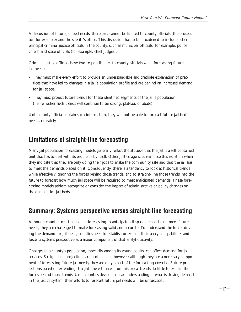A discussion of future jail bed needs, therefore, cannot be limited to county officials (the prosecutor, for example) and the sheriff's office. This discussion has to be broadened to include other principal criminal justice officials in the county, such as municipal officials (for example, police chiefs) and state officials (for example, chief judges).

Criminal justice officials have two responsibilities to county officials when forecasting future jail needs:

- They must make every effort to provide an understandable and credible explanation of practices that have led to changes in a jail's population profile and are behind an increased demand for jail space.
- They must project future trends for these identified segments of the jail's population (i.e., whether such trends will continue to be strong, plateau, or abate).

Until county officials obtain such information, they will not be able to forecast future jail bed needs accurately.

### **Limitations of straight-line forecasting**

Many jail population forecasting models generally reflect the attitude that the jail is a self-contained unit that has to deal with its problems by itself. Other justice agencies reinforce this isolation when they indicate that they are only doing their jobs to make the community safe and that the jail has to meet the demands placed on it. Consequently, there is a tendency to look at historical trends while effectively ignoring the forces behind those trends, and to straight-line those trends into the future to forecast how much jail space will be required to meet anticipated demands. These forecasting models seldom recognize or consider the impact of administrative or policy changes on the demand for jail beds.

#### **Summary: Systems perspective versus straight-line forecasting**

Although counties must engage in forecasting to anticipate jail space demands and meet future needs, they are challenged to make forecasting valid and accurate. To understand the forces driving the demand for jail beds, counties need to establish or expand their analytic capabilities and foster a systems perspective as a major component of that analytic activity.

Changes in a county's population, especially among its young adults, can affect demand for jail services. Straight-line projections are problematic, however; although they are a necessary component of forecasting future jail needs, they are only a part of the forecasting exercise. Future projections based on extending straight-line estimates from historical trends do little to explain the forces behind those trends. Until counties develop a clear understanding of what is driving demand in the justice system, their efforts to forecast future jail needs will be unsuccessful.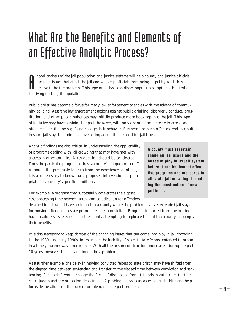# What Are the Benefits and Elements of an Effective Analytic Process?

**A** good analysis of the jail pop<br>focus on issues that affect the<br>believe to be the problem. This driving up the jail population. good analysis of the jail population and justice systems will help county and justice officials focus on issues that affect the jail and will keep officials from being dispel by what they believe to be the problem. This type of analysis can dispel popular assumptions about who

Public order has become a focus for many law enforcement agencies with the advent of community policing. Assertive law enforcement actions against public drinking, disorderly conduct, prostitution, and other public nuisances may initially produce more bookings into the jail. This type of initiative may have a minimal impact, however, with only a short-term increase in arrests as offenders "get the message" and change their behavior. Furthermore, such offenses tend to result in short jail stays that minimize overall impact on the demand for jail beds.

Analytic findings are also critical in understanding the applicability of programs dealing with jail crowding that may have met with success in other counties. A key question should be considered: Does the particular program address a county's unique concerns? Although it is preferable to learn from the experiences of others, it is also necessary to know that a proposed intervention is appropriate for a county's specific conditions.

For example, a program that successfully accelerates the elapsed case processing time between arrest and adjudication for offenders **A county must ascertain changing jail usage and the forces at play in its jail system before it can implement effective programs and measures to alleviate jail crowding, including the construction of new jail beds.**

detained in jail would have no impact in a county where the problem involves extended jail stays for moving offenders to state prison after their conviction. Programs imported from the outside have to address issues specific to the county attempting to replicate them if that county is to enjoy their benefits.

It is also necessary to keep abreast of the changing issues that can come into play in jail crowding. In the 1980s and early 1990s, for example, the inability of states to take felons sentenced to prison in a timely manner was a major issue. With all the prison construction undertaken during the past 10 years, however, this may no longer be a problem.

As a further example, the delay in moving convicted felons to state prison may have shifted from the elapsed time between sentencing and transfer to the elapsed time between conviction and sentencing. Such a shift would change the focus of discussions from state prison authorities to state court judges and the probation department. A probing analysis can ascertain such shifts and help focus deliberations on the current problem, not the past problem.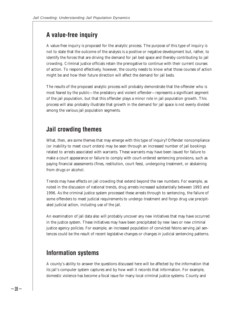### **A value-free inquiry**

A value-free inquiry is proposed for the analytic process. The purpose of this type of inquiry is not to state that the outcome of the analysis is a positive or negative development but, rather, to identify the forces that are driving the demand for jail bed space and thereby contributing to jail crowding. Criminal justice officials retain the prerogative to continue with their current courses of action. To respond effectively, however, the county needs to know what those courses of action might be and how their future direction will affect the demand for jail beds.

The results of the proposed analytic process will probably demonstrate that the offender who is most feared by the public—the predatory and violent offender—represents a significant segment of the jail population, but that this offender plays a minor role in jail population growth. This process will also probably illustrate that growth in the demand for jail space is not evenly divided among the various jail population segments.

### **Jail crowding themes**

What, then, are some themes that may emerge with this type of inquiry? Offender noncompliance (or inability to meet court orders) may be seen through an increased number of jail bookings related to arrests associated with warrants. These warrants may have been issued for failure to make a court appearance or failure to comply with court-ordered sentencing provisions, such as paying financial assessments (fines, restitution, court fees), undergoing treatment, or abstaining from drugs or alcohol.

Trends may have effects on jail crowding that extend beyond the raw numbers. For example, as noted in the discussion of national trends, drug arrests increased substantially between 1993 and 1996. As the criminal justice system processed these arrests through to sentencing, the failure of some offenders to meet judicial requirements to undergo treatment and forgo drug use precipitated judicial action, including use of the jail.

An examination of jail data also will probably uncover any new initiatives that may have occurred in the justice system. These initiatives may have been precipitated by new laws or new criminal justice agency policies. For example, an increased population of convicted felons serving jail sentences could be the result of recent legislative changes or changes in judicial sentencing patterns.

### **Information systems**

A county's ability to answer the questions discussed here will be affected by the information that its jail's computer system captures and by how well it records that information. For example, domestic violence has become a focal issue for many local criminal justice systems. County and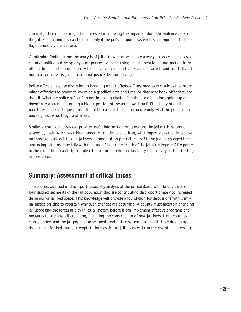criminal justice officials might be interested in knowing the impact of domestic violence cases on the jail. Such an inquiry can be made only if the jail's computer system has a component that flags domestic violence cases.

Confirming findings from the analysis of jail data with other justice agency databases enhances a county's ability to develop a systems perspective concerning its jail operations. Information from other criminal justice computer systems involving such activities as adult arrests and court dispositions can provide insight into criminal justice decisionmaking.

Police officers may use discretion in handling minor offenses. They may issue citations that order minor offenders to report to court on a specified date and time, or they may book offenders into the jail. What are police officers' trends in issuing citations? Is the use of citations going up or down? Are warrants becoming a bigger portion of the arrest workload? The ability of a jail database to examine such questions is limited because it is able to capture only what the police do at booking, not what they do at arrest.

Similarly, court databases can provide useful information on questions the jail database cannot answer by itself. Are cases taking longer to adjudicate and, if so, what impact does the delay have on those who are detained in jail versus those out on pretrial release? Have judges changed their sentencing patterns, especially with their use of jail or the length of the jail term imposed? Responses to these questions can help complete the picture of criminal justice system activity that is affecting jail resources.

# **Summary: Assessment of critical forces**

The process outlined in this report, especially analysis of the jail database, will identify three or four distinct segments of the jail population that are contributing disproportionately to increased demands for jail bed space. This knowledge will provide a foundation for discussions with criminal justice officials to ascertain why such changes are occurring. A county must ascertain changing jail usage and the forces at play in its jail system before it can implement effective programs and measures to alleviate jail crowding, including the construction of new jail beds. Until counties clearly understand the jail population segments and justice system practices that are driving up the demand for bed space, attempts to forecast future jail needs will run the risk of being wrong.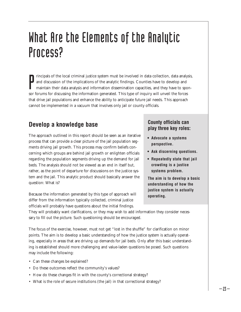# What Are the Elements of the Analytic Process?

Internal sort for discussion of the implications of the analytic findings. Counties have to develop and maintain their data analysis and information dissemination capacities, and they have to spo<br>sor forums for discussing rincipals of the local criminal justice system must be involved in data collection, data analysis, and discussion of the implications of the analytic findings. Counties have to develop and maintain their data analysis and information dissemination capacities, and they have to sponthat drive jail populations and enhance the ability to anticipate future jail needs. This approach cannot be implemented in a vacuum that involves only jail or county officials.

# **Develop a knowledge base**

The approach outlined in this report should be seen as an iterative process that can provide a clear picture of the jail population segments driving jail growth. This process may confirm beliefs concerning which groups are behind jail growth or enlighten officials regarding the population segments driving up the demand for jail beds. The analysis should not be viewed as an end in itself but, rather, as the point of departure for discussions on the justice system and the jail. This analytic product should basically answer the question: What is?

Because the information generated by this type of approach will differ from the information typically collected, criminal justice officials will probably have questions about the initial findings.

#### **County officials can play three key roles:**

- **Advocate a systems perspective.**
- **Ask discerning questions.**
- **Repeatedly state that jail crowding is a justice systems problem.**

**The aim is to develop a basic understanding of how the justice system is actually operating.**

They will probably want clarifications, or they may wish to add information they consider necessary to fill out the picture. Such questioning should be encouraged.

The focus of the exercise, however, must not get "lost in the shuffle" for clarification on minor points. The aim is to develop a basic understanding of how the justice system is actually operating, especially in areas that are driving up demands for jail beds. Only after this basic understanding is established should more challenging and value-laden questions be posed. Such questions may include the following:

- Can these changes be explained?
- Do these outcomes reflect the community's values?
- How do these changes fit in with the county's correctional strategy?
- What is the role of secure institutions (the jail) in that correctional strategy?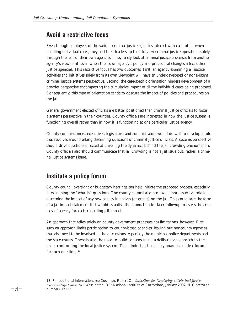#### **Avoid a restrictive focus**

Even though employees of the various criminal justice agencies interact with each other when handling individual cases, they and their leadership tend to view criminal justice operations solely through the lens of their own agencies. They rarely look at criminal justice processes from another agency's viewpoint, even when their own agency's policy and procedural changes affect other justice agencies. This restrictive focus has two outcomes. First, an agency examining all justice activities and initiatives solely from its own viewpoint will have an underdeveloped or nonexistent criminal justice systems perspective. Second, the case-specific orientation hinders development of a broader perspective encompassing the cumulative impact of all the individual cases being processed. Consequently, this type of orientation tends to obscure the impact of policies and procedures on the jail.

General government elected officials are better positioned than criminal justice officials to foster a systems perspective in their counties. County officials are interested in how the justice system is functioning overall rather than in how it is functioning at one particular justice agency.

County commissioners, executives, legislators, and administrators would do well to develop a role that revolves around asking discerning questions of criminal justice officials. A systems perspective should drive questions directed at unveiling the dynamics behind the jail crowding phenomenon. County officials also should communicate that jail crowding is not a jail issue but, rather, a criminal justice systems issue.

#### **Institute a policy forum**

County council oversight or budgetary hearings can help initiate the proposed process, especially in examining the "what is" questions. The county council also can take a more assertive role in discerning the impact of any new agency initiatives (or grants) on the jail. This could take the form of a jail impact statement that would establish the foundation for later followup to assess the accuracy of agency forecasts regarding jail impact.

An approach that relies solely on county government processes has limitations, however. First, such an approach limits participation to county-based agencies, leaving out noncounty agencies that also need to be involved in the discussions, especially the municipal police departments and the state courts. There is also the need to build consensus and a deliberative approach to the issues confronting the local justice system. The criminal justice policy board is an ideal forum for such questions.<sup>13</sup>

<sup>13.</sup> For additional information, see Cushman, Robert C., *Guidelines for Developing a Criminal Justice Coordinating Committee,* Washington, DC: National Institute of Corrections, January 2002, NIC accession number 017232.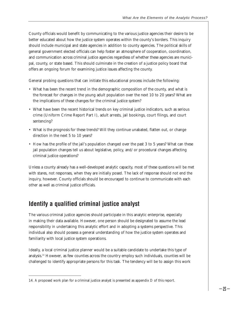County officials would benefit by communicating to the various justice agencies their desire to be better educated about how the justice system operates within the county's borders. This inquiry should include municipal and state agencies in addition to county agencies. The political skills of general government elected officials can help foster an atmosphere of cooperation, coordination, and communication across criminal justice agencies regardless of whether these agencies are municipal, county, or state based. This should culminate in the creation of a justice policy board that offers an ongoing forum for examining justice issues affecting the county.

General probing questions that can initiate this educational process include the following:

- What has been the recent trend in the demographic composition of the county, and what is the forecast for changes in the young adult population over the next 10 to 20 years? What are the implications of these changes for the criminal justice system?
- What have been the recent historical trends on key criminal justice indicators, such as serious crime (Uniform Crime Report Part I), adult arrests, jail bookings, court filings, and court sentencing?
- What is the prognosis for these trends? Will they continue unabated, flatten out, or change direction in the next 5 to 10 years?
- How has the profile of the jail's population changed over the past 3 to 5 years? What can these jail population changes tell us about legislative, policy, and/or procedural changes affecting criminal justice operations?

Unless a county already has a well-developed analytic capacity, most of these questions will be met with stares, not responses, when they are initially posed. The lack of response should not end the inquiry, however. County officials should be encouraged to continue to communicate with each other as well as criminal justice officials.

### **Identify a qualified criminal justice analyst**

The various criminal justice agencies should participate in this analytic enterprise, especially in making their data available. However, one person should be designated to assume the lead responsibility in undertaking this analytic effort and in adopting a systems perspective. This individual also should possess a general understanding of how the justice system operates and familiarity with local justice system operations.

Ideally, a local criminal justice planner would be a suitable candidate to undertake this type of analysis.14 However, as few counties across the country employ such individuals, counties will be challenged to identify appropriate persons for this task. The tendency will be to assign this work

<sup>14.</sup> A proposed work plan for a criminal justice analyst is presented as appendix D of this report.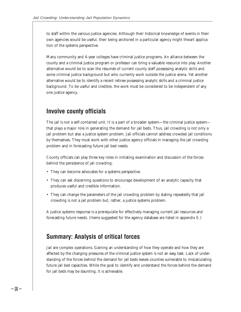to staff within the various justice agencies. Although their historical knowledge of events in their own agencies would be useful, their being anchored in a particular agency might thwart application of the systems perspective.

Many community and 4-year colleges have criminal justice programs. An alliance between the county and a criminal justice program or professor can bring a valuable resource into play. Another alternative would be to scan the résumés of current county staff possessing analytic skills and some criminal justice background but who currently work outside the justice arena. Yet another alternative would be to identify a recent retiree possessing analytic skills and a criminal justice background. To be useful and credible, the work must be considered to be independent of any one justice agency.

#### **Involve county officials**

The jail is not a self-contained unit. It is a part of a broader system—the criminal justice system that plays a major role in generating the demand for jail beds. Thus, jail crowding is not only a jail problem but also a justice system problem. Jail officials cannot address crowded jail conditions by themselves. They must work with other justice agency officials in managing the jail crowding problem and in forecasting future jail bed needs.

County officials can play three key roles in initiating examination and discussion of the forces behind the persistence of jail crowding:

- They can become advocates for a systems perspective.
- They can ask discerning questions to encourage development of an analytic capacity that produces useful and credible information.
- They can change the parameters of the jail crowding problem by stating repeatedly that jail crowding is not a jail problem but, rather, a justice systems problem.

A justice systems response is a prerequisite for effectively managing current jail resources and forecasting future needs. (Items suggested for the agency database are listed in appendix E.)

#### **Summary: Analysis of critical forces**

Jail are complex operations. Gaining an understanding of how they operate and how they are affected by the changing pressures of the criminal justice system is not an easy task. Lack of understanding of the forces behind the demand for jail beds leaves counties vulnerable to miscalculating future jail bed capacities. While the goal to identify and understand the forces behind the demand for jail beds may be daunting, it is achievable.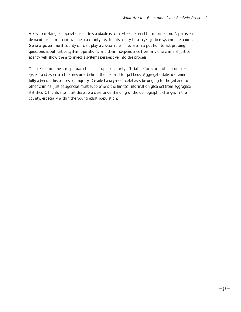A key to making jail operations understandable is to create a demand for information. A persistent demand for information will help a county develop its ability to analyze justice system operations. General government county officials play a crucial role. They are in a position to ask probing questions about justice system operations, and their independence from any one criminal justice agency will allow them to inject a systems perspective into the process.

This report outlines an approach that can support county officials' efforts to probe a complex system and ascertain the pressures behind the demand for jail beds. Aggregate statistics cannot fully advance this process of inquiry. Detailed analyses of databases belonging to the jail and to other criminal justice agencies must supplement the limited information gleaned from aggregate statistics. Officials also must develop a clear understanding of the demographic changes in the county, especially within the young adult population.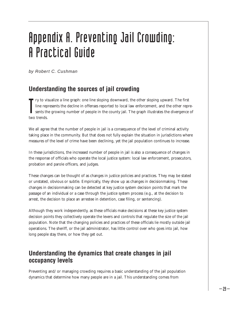# Appendix A. Preventing Jail Crowding: A Practical Guide

by Robert C. Cushman

# **Understanding the sources of jail crowding**

The reports the two trends. ry to visualize a line graph: one line sloping downward, the other sloping upward. The first line represents the decline in offenses reported to local law enforcement, and the other represents the growing number of people in the county jail. The graph illustrates the divergence of

We all agree that the number of people in jail is a consequence of the level of criminal activity taking place in the community. But that does not fully explain the situation in jurisdictions where measures of the level of crime have been declining, yet the jail population continues to increase.

In these jurisdictions, the increased number of people in jail is also a consequence of changes in the response of officials who operate the local justice system: local law enforcement, prosecutors, probation and parole officers, and judges.

These changes can be thought of as changes in justice policies and practices. They may be stated or unstated, obvious or subtle. Empirically, they show up as changes in decisionmaking. These changes in decisionmaking can be detected at key justice system decision points that mark the passage of an individual or a case through the justice system process (e.g., at the decision to arrest, the decision to place an arrestee in detention, case filing, or sentencing).

Although they work independently, as these officials make decisions at these key justice system decision points they collectively operate the levers and controls that regulate the size of the jail population. Note that the changing policies and practices of these officials lie mostly outside jail operations. The sheriff, or the jail administrator, has little control over who goes into jail, how long people stay there, or how they get out.

# **Understanding the dynamics that create changes in jail occupancy levels**

Preventing and/or managing crowding requires a basic understanding of the jail population dynamics that determine how many people are in a jail. This understanding comes from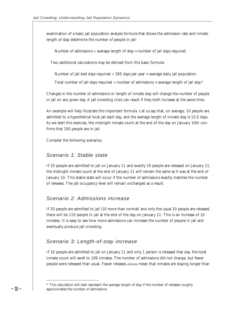examination of a basic jail population analysis formula that shows the admission rate and inmate length of stay determine the number of people in jail:

Number of admissions  $\times$  average length of stay = number of jail days required.

Two additional calculations may be derived from this basic formula:

Number of jail bed days required  $\div$  365 days per year = average daily jail population.

Total number of jail days required  $\div$  number of admissions = average length of jail stay.\*

Changes in the number of admissions or length of inmate stay will change the number of people in jail on any given day. A jail crowding crisis can result if they both increase at the same time.

An example will help illustrate this important formula. Let us say that, on average, 10 people are admitted to a hypothetical local jail each day, and the average length of inmate stay is 15.0 days. As we start this exercise, the midnight inmate count at the end of the day on January 10th confirms that 100 people are in jail.

Consider the following scenarios.

#### Scenario 1: Stable state

If 10 people are admitted to jail on January 11 and exactly 10 people are released on January 11, the midnight inmate count at the end of January 11 will remain the same as it was at the end of January 10. This stable state will occur if the number of admissions exactly matches the number of releases. The jail occupancy level will remain unchanged as a result.

#### Scenario 2: Admissions increase

If 20 people are admitted to jail (10 more than normal) and only the usual 10 people are released, there will be 110 people in jail at the end of the day on January 11. This is an increase of 10 inmates. It is easy to see how more admissions can increase the number of people in jail and eventually produce jail crowding.

#### Scenario 3: Length-of-stay increase

If 10 people are admitted to jail on January 11 and only 1 person is released that day, the total inmate count will swell to 109 inmates. The number of admissions did not change, but fewer people were released than usual. Fewer releases *always* mean that inmates are staying longer than

<sup>\*</sup> This calculation will best represent the average length of stay if the number of releases roughly approximates the number of admissions.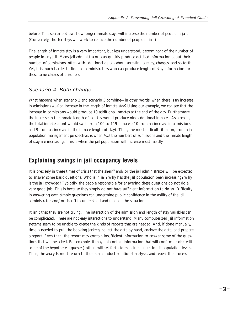before. This scenario shows how longer inmate stays will increase the number of people in jail. (Conversely, shorter stays will work to reduce the number of people in jail.)

The length of inmate stay is a very important, but less understood, determinant of the number of people in any jail. Many jail administrators can quickly produce detailed information about their number of admissions, often with additional details about arresting agency, charges, and so forth. Yet, it is much harder to find jail administrators who can produce length-of-stay information for these same classes of prisoners.

#### Scenario 4: Both change

What happens when scenario 2 and scenario 3 combine—in other words, when there is an increase in admissions *and* an increase in the length of inmate stay? Using our example, we can see that the increase in admissions would produce 10 additional inmates at the end of the day. Furthermore, the increase in the inmate length of jail stay would produce nine additional inmates. As a result, the total inmate count would swell from 100 to 119 inmates (10 from an increase in admissions and 9 from an increase in the inmate length of stay). Thus, the most difficult situation, from a jail population management perspective, is when *both* the numbers of admissions and the inmate length of stay are increasing. This is when the jail population will increase most rapidly.

#### **Explaining swings in jail occupancy levels**

It is precisely in these times of crisis that the sheriff and/or the jail administrator will be expected to answer some basic questions: Who is in jail? Why has the jail population been increasing? Why is the jail crowded? Typically, the people responsible for answering these questions do not do a very good job. This is because they simply do not have sufficient information to do so. Difficulty in answering even simple questions can undermine public confidence in the ability of the jail administrator and/or sheriff to understand and manage the situation.

It isn't that they are not trying. The interaction of the admission and length of stay variables can be complicated. These are not easy interactions to understand. Many computerized jail information systems seem to be unable to create the kinds of reports that are needed. And, if done manually, time is needed to pull the booking jackets, collect the data by hand, analyze the data, and prepare a report. Even then, the report may contain insufficient information to answer some of the questions that will be asked. For example, it may not contain information that will confirm or discredit some of the hypotheses (guesses) others will set forth to explain changes in jail population levels. Thus, the analysts must return to the data, conduct additional analysis, and repeat the process.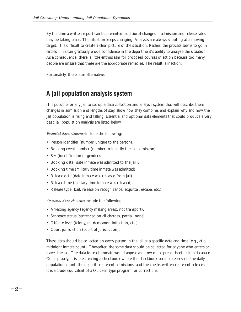By the time a written report can be presented, additional changes in admission and release rates may be taking place. The situation keeps changing. Analysts are always shooting at a moving target. It is difficult to create a clear picture of the situation. Rather, the process seems to go in circles. This can gradually erode confidence in the department's ability to analyze the situation. As a consequence, there is little enthusiasm for proposed courses of action because too many people are unsure that these are the appropriate remedies. The result is inaction.

Fortunately, there is an alternative.

### **A jail population analysis system**

It is possible for any jail to set up a data collection and analysis system that will describe these changes in admission and lengths of stay, show how they combine, and explain why and how the jail population is rising and falling. Essential and optional data elements that could produce a very basic jail population analysis are listed below.

*Essential data elements* include the following:

- Person identifier (number unique to the person).
- Booking event number (number to identify the jail admission).
- Sex (identification of gender).
- Booking date (date inmate was admitted to the jail).
- Booking time (military time inmate was admitted).
- Release date (date inmate was released from jail).
- Release time (military time inmate was released).
- Release type (bail, release on recognizance, acquittal, escape, etc.).

*Optional data elements* include the following:

- Arresting agency (agency making arrest; not transport).
- Sentence status (sentenced on all charges, partial, none).
- Offense level (felony, misdemeanor, infraction, etc.).
- Court jurisdiction (court of jurisdiction).

These data should be collected on every person in the jail at a specific date and time (e.g., at a midnight inmate count). Thereafter, the same data should be collected for anyone who enters or leaves the jail. The data for each inmate would appear as a row on a spread sheet or in a database. Conceptually, it is like creating a checkbook where the checkbook balance represents the daily population count, the deposits represent admissions, and the checks written represent releases: it is a crude equivalent of a Quicken-type program for corrections.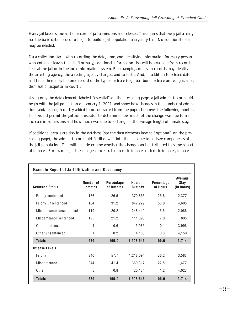Every jail keeps some sort of record of jail admissions and releases. This means that every jail already has the basic data needed to begin to build a jail population analysis system. No additional data may be needed.

Data collection starts with recording the date, time, and identifying information for every person who enters or leaves the jail. Normally, additional information also will be available from records kept at the jail or in the local information system. For example, admission records may identify the arresting agency, the arresting agency charges, and so forth. And, in addition to release date and time, there may be some record of the type of release (e.g., bail bond, release on recognizance, dismissal or acquittal in court).

Using only the data elements labeled "essential" on the preceding page, a jail administrator could begin with the jail population on January 1, 2001, and show how changes in the number of admissions and/or length of stay added to or subtracted from the population over the following months. This would permit the jail administrator to determine how much of the change was due to an increase in admissions and how much was due to a change in the average length of inmate stay.

If additional details are also in the database (see the data elements labeled "optional" on the preceding page), the administrator could "drill down" into the database to analyze components of the jail population. This will help determine whether the change can be attributed to some subset of inmates. For example, is the change concentrated in male inmates or female inmates, inmates

| <b>Sentence Status</b>  | Number of<br><b>Inmates</b> | Percentage<br>of Inmates | Hours in<br><b>Custody</b> | Percentage<br>of Hours | Average<br>Stay<br>(in hours) |
|-------------------------|-----------------------------|--------------------------|----------------------------|------------------------|-------------------------------|
| Felony sentenced        | 156                         | 26.5                     | 370,865                    | 26.8                   | 2,377                         |
| Felony unsentenced      | 184                         | 31.2                     | 847,229                    | 53.0                   | 4,605                         |
| Misdemeanor unsentenced | 119                         | 20.2                     | 248,419                    | 15.5                   | 2,088                         |
| Misdemeanor sentenced   | 125                         | 21.2                     | 111,898                    | 7.0                    | 895                           |
| Other sentenced         | 4                           | 0.6                      | 15,985                     | 0.1                    | 3,996                         |
| Other unsentenced       | 1                           | 0.2                      | 4,150                      | 0.3                    | 4,150                         |
| <b>Totals</b>           | 589                         | 100.0                    | 1,598,546                  | 100.0                  | 2,714                         |
| Offense Levels          |                             |                          |                            |                        |                               |
| Felony                  | 340                         | 57.7                     | 1,218,094                  | 76.2                   | 3,583                         |
| Misdemeanor             | 244                         | 41.4                     | 360,317                    | 22.5                   | 1,477                         |
| Other                   | 5                           | 0.8                      | 20,134                     | 1.2                    | 4,027                         |
| <b>Totals</b>           | 589                         | 100.0                    | 1.598.546                  | 100.0                  | 2,714                         |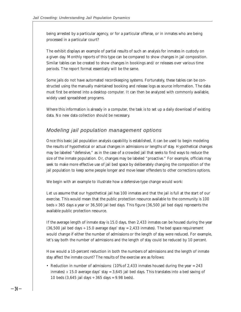being arrested by a particular agency, or for a particular offense, or in inmates who are being processed in a particular court?

The exhibit displays an example of partial results of such an analysis for inmates in custody on a given day. Monthly reports of this type can be compared to show changes in jail composition. Similar tables can be created to show changes in bookings and/or releases over various time periods. The report format essentially will be the same.

Some jails do not have automated recordkeeping systems. Fortunately, these tables can be constructed using the manually maintained booking and release logs as source information. The data must first be entered into a desktop computer. It can then be analyzed with commonly available, widely used spreadsheet programs.

Where this information is already in a computer, the task is to set up a daily download of existing data. No new data collection should be necessary.

#### Modeling jail population management options

Once this basic jail population analysis capability is established, it can be used to begin modeling the results of hypothetical or actual changes in admissions or lengths of stay. Hypothetical changes may be labeled "defensive," as in the case of a crowded jail that seeks to find ways to reduce the size of the inmate population. Or, changes may be labeled "proactive." For example, officials may seek to make more effective use of jail bed space by deliberately changing the composition of the jail population to keep some people longer and move lesser offenders to other corrections options.

We begin with an example to illustrate how a defensive-type change would work:

Let us assume that our hypothetical jail has 100 inmates and that the jail is full at the start of our exercise. This would mean that the public protection resource available to the community is 100 beds x 365 days a year or 36,500 jail bed days. This figure (36,500 jail bed days) represents the available public protection resource.

If the average length of inmate stay is 15.0 days, then 2,433 inmates can be housed during the year  $(36,500)$  jail bed days  $\div$  15.0 average days' stay = 2,433 inmates). The bed space requirement would change if either the number of admissions or the length of stay were reduced. For example, let's say both the number of admissions and the length of stay could be reduced by 10 percent.

How would a 10-percent reduction in both the numbers of admissions and the length of inmate stay affect the inmate count? The results of the exercise are as follows:

• Reduction in number of admissions: (10% of 2,433 inmates housed during the year = 243 inmates)  $\times$  15.0 average days' stay = 3,645 jail bed days. This translates into a bed saving of 10 beds  $(3.645 \text{ i}$ ail days ÷ 365 days = 9.98 beds).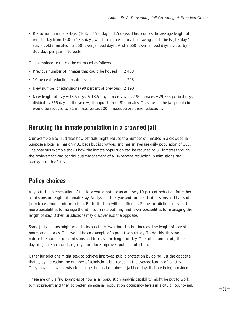• Reduction in inmate stays: (10% of 15.0 days = 1.5 days). This reduces the average length of inmate stay from 15.0 to 13.5 days, which translates into a bed savings of 10 beds (1.5 days' stay  $\times$  2,433 inmates = 3,650 fewer jail bed days). And 3,650 fewer jail bed days divided by 365 days per year = 10 beds.

The combined result can be estimated as follows:

- Previous number of inmates that could be housed 2,433
- 10-percent reduction in admissions –243
- New number of admissions (90 percent of previous) 2,190
- New length of stay = 13.5 days. A 13.5-day inmate stay  $\times$  2,190 inmates = 29,565 jail bed days, divided by 365 days in the year = jail population of 81 inmates. This means the jail population would be reduced to 81 inmates versus 100 inmates before these reductions.

#### **Reducing the inmate population in a crowded jail**

Our example also illustrates how officials might reduce the number of inmates in a crowded jail. Suppose a local jail has only 81 beds but is crowded and has an average daily population of 100. The previous example shows how the inmate population can be reduced to 81 inmates through the achievement and continuous management of a 10-percent reduction in admissions and average length of stay.

#### **Policy choices**

Any actual implementation of this idea would not use an arbitrary 10-percent reduction for either admissions or length of inmate stay. Analysis of the type and source of admissions and types of jail releases should inform action. Each situation will be different. Some jurisdictions may find more possibilities to manage the admission rate but may find fewer possibilities for managing the length of stay. Other jurisdictions may discover just the opposite.

Some jurisdictions might want to incapacitate fewer inmates but increase the length of stay of more serious cases. This would be an example of a proactive strategy. To do this, they would reduce the number of admissions and increase the length of stay. The total number of jail bed days might remain unchanged yet produce improved public protection.

Other jurisdictions might seek to achieve improved public protection by doing just the opposite; that is, by increasing the number of admissions but reducing the average length of jail stay. They may or may not wish to change the total number of jail bed days that are being provided.

These are only a few examples of how a jail population analysis capability might be put to work to first prevent and then to better manage jail population occupancy levels in a city or county jail.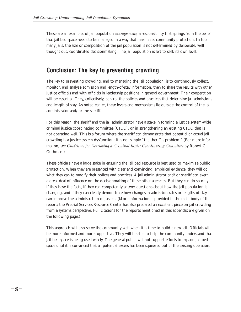These are all examples of jail population *management,* a responsibility that springs from the belief that jail bed space needs to be managed in a way that maximizes community protection. In too many jails, the size or composition of the jail population is not determined by deliberate, well thought out, coordinated decisionmaking. The jail population is left to seek its own level.

### **Conclusion: The key to preventing crowding**

The key to preventing crowding, and to managing the jail population, is to continuously collect, monitor, and analyze admission and length-of-stay information, then to share the results with other justice officials and with officials in leadership positions in general government. Their cooperation will be essential. They, collectively, control the policies and practices that determine jail admissions and length of stay. As noted earlier, these levers and mechanisms lie outside the control of the jail administrator and/or the sheriff.

For this reason, the sheriff and the jail administrator have a stake in forming a justice system-wide criminal justice coordinating committee (CJCC), or in strengthening an existing CJCC that is not operating well. This is a forum where the sheriff can demonstrate that potential or actual jail crowding is a justice system dysfunction: it is not simply "the sheriff's problem." (For more information, see *Guidelines for Developing a Criminal Justice Coordinating Committee* by Robert C. Cushman.)

These officials have a large stake in ensuring the jail bed resource is best used to maximize public protection. When they are presented with clear and convincing, empirical evidence, they will do what they can to modify their polices and practices. A jail administrator and/or sheriff can exert a great deal of influence on the decisionmaking of these other agencies. But they can do so only if they have the facts, if they can competently answer questions about how the jail population is changing, and if they can clearly demonstrate how changes in admission rates or lengths of stay can improve the administration of justice. (More information is provided in the main body of this report; the Pretrial Services Resource Center has also prepared an excellent piece on jail crowding from a systems perspective. Full citations for the reports mentioned in this appendix are given on the following page.)

This approach will also serve the community well when it is time to build a new jail. Officials will be more informed and more supportive. They will be able to help the community understand that jail bed space is being used wisely. The general public will not support efforts to expand jail bed space until it is convinced that all potential excess has been squeezed out of the existing operation.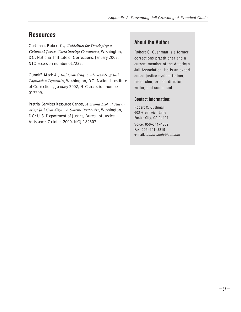# **Resources**

Cushman, Robert C., *Guidelines for Developing a Criminal Justice Coordinating Committee,* Washington, DC: National Institute of Corrections, January 2002, NIC accession number 017232.

Cunniff, Mark A., *Jail Crowding: Understanding Jail Population Dynamics,* Washington, DC: National Institute of Corrections, January 2002, NIC accession number 017209.

Pretrial Services Resource Center, *A Second Look at Alleviating Jail Crowding—A Systems Perspective,* Washington, DC: U.S. Department of Justice, Bureau of Justice Assistance, October 2000, NCJ 182507.

#### **About the Author**

Robert C. Cushman is a former corrections practitioner and a current member of the American Jail Association. He is an experienced justice system trainer, researcher, project director, writer, and consultant.

#### **Contact information:**

Robert C. Cushman 602 Greenwich Lane Foster City, CA 94404 Voice: 650–341–4309 Fax: 206–201–8219 e-mail: *boborsandy@aol.com*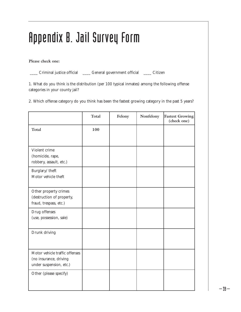# Appendix B. Jail Survey Form

**Please check one:**

\_\_\_\_ Criminal justice official \_\_\_\_ General government official \_\_\_\_ Citizen

1. What do you think is the distribution (per 100 typical inmates) among the following offense categories in your county jail?

2. Which offense category do you think has been the fastest growing category in the past 5 years?

|                                                                                     | <b>Total</b> | Felony | Nonfelony | <b>Fastest Growing</b><br>(check one) |
|-------------------------------------------------------------------------------------|--------------|--------|-----------|---------------------------------------|
| <b>Total</b>                                                                        | 100          |        |           |                                       |
| Violent crime<br>(homicide, rape,<br>robbery, assault, etc.)                        |              |        |           |                                       |
| Burglary/theft<br>Motor vehicle theft                                               |              |        |           |                                       |
| Other property crimes<br>(destruction of property,<br>fraud, trespass, etc.)        |              |        |           |                                       |
| Drug offenses<br>(use, possession, sale)                                            |              |        |           |                                       |
| Drunk driving                                                                       |              |        |           |                                       |
| Motor vehicle traffic offenses<br>(no insurance, driving<br>under suspension, etc.) |              |        |           |                                       |
| Other (please specify)                                                              |              |        |           |                                       |

 $-39-$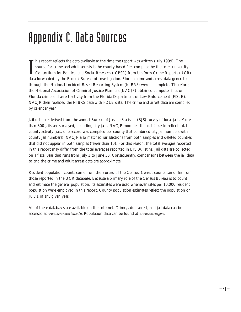# Appendix C. Data Sources

In this report reflects the data available at the time the report was written (July 1999). The source for crime and adult arrests is the county-based files compiled by the Inter-university Consortium for Political and Soci his report reflects the data available at the time the report was written (July 1999). The source for crime and adult arrests is the county-based files compiled by the Inter-university Consortium for Political and Social Research (ICPSR) from Uniform Crime Reports (UCR) through the National Incident Based Reporting System (NIBRS) were incomplete. Therefore, the National Association of Criminal Justice Planners (NACJP) obtained computer files on Florida crime and arrest activity from the Florida Department of Law Enforcement (FDLE). NACJP then replaced the NIBRS data with FDLE data. The crime and arrest data are compiled by calendar year.

Jail data are derived from the annual Bureau of Justice Statistics (BJS) survey of local jails. More than 800 jails are surveyed, including city jails. NACJP modified this database to reflect total county activity (i.e., one record was compiled per county that combined city jail numbers with county jail numbers). NACJP also matched jurisdictions from both samples and deleted counties that did not appear in both samples (fewer than 10). For this reason, the total averages reported in this report may differ from the total averages reported in BJS Bulletins. Jail data are collected on a fiscal year that runs from July 1 to June 30. Consequently, comparisons between the jail data to and the crime and adult arrest data are approximate.

Resident population counts come from the Bureau of the Census. Census counts can differ from those reported in the UCR database. Because a primary role of the Census Bureau is to count and estimate the general population, its estimates were used whenever rates per 10,000 resident population were employed in this report. County population estimates reflect the population on July 1 of any given year.

All of these databases are available on the Internet. Crime, adult arrest, and jail data can be accessed at *www.icpsr.umich.edu.* Population data can be found at *www.census.gov.*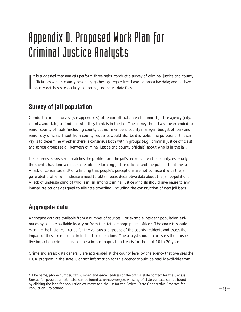# Appendix D. Proposed Work Plan for Criminal Justice Analysts

**I** t is suggested that analysts perform three tasks: conduct a survey of criminal justice and county officials as well as county residents; gather aggregate trend and comparative data; and analyze agency databases, especially jail, arrest, and court data files.

# **Survey of jail population**

Conduct a simple survey (see appendix B) of senior officials in each criminal justice agency (city, county, and state) to find out who they think is in the jail. The survey should also be extended to senior county officials (including county council members, county manager, budget officer) and senior city officials. Input from county residents would also be desirable. The purpose of this survey is to determine whether there is consensus both within groups (e.g., criminal justice officials) and across groups (e.g., between criminal justice and county officials) about who is in the jail.

If a consensus exists and matches the profile from the jail's records, then the county, especially the sheriff, has done a remarkable job in educating justice officials and the public about the jail. A lack of consensus and/or a finding that people's perceptions are not consistent with the jailgenerated profile, will indicate a need to obtain basic descriptive data about the jail population. A lack of understanding of who is in jail among criminal justice officials should give pause to any immediate actions designed to alleviate crowding, including the construction of new jail beds.

### **Aggregate data**

Aggregate data are available from a number of sources. For example, resident population estimates by age are available locally or from the state demographers' office.\* The analysts should examine the historical trends for the various age groups of the county residents and assess the impact of these trends on criminal justice operations. The analyst should also assess the prospective impact on criminal justice operations of population trends for the next 10 to 20 years.

Crime and arrest data generally are aggregated at the county level by the agency that oversees the UCR program in the state. Contact information for this agency should be readily available from

<sup>\*</sup> The name, phone number, fax number, and e-mail address of the official state contact for the Census Bureau for population estimates can be found at *www.census.gov.* A listing of state contacts can be found by clicking the icon for population estimates and the list for the Federal State Cooperative Program for Population Projections.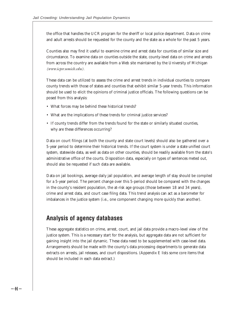the office that handles the UCR program for the sheriff or local police department. Data on crime and adult arrests should be requested for the county and the state as a whole for the past 5 years.

Counties also may find it useful to examine crime and arrest data for counties of similar size and circumstance. To examine data on counties outside the state, county-level data on crime and arrests from across the country are available from a Web site maintained by the University of Michigan *(www.icpsr.umich.edu).* 

These data can be utilized to assess the crime and arrest trends in individual counties to compare county trends with those of states and counties that exhibit similar 5-year trends. This information should be used to elicit the opinions of criminal justice officials. The following questions can be posed from this analysis:

- What forces may be behind these historical trends?
- What are the implications of these trends for criminal justice services?
- If county trends differ from the trends found for the state or similarly situated counties, why are these differences occurring?

Data on court filings (at both the county and state court levels) should also be gathered over a 5-year period to determine their historical trends. If the court system is under a state unified court system, statewide data, as well as data on other counties, should be readily available from the state's administrative office of the courts. Disposition data, especially on types of sentences meted out, should also be requested if such data are available.

Data on jail bookings, average daily jail population, and average length of stay should be compiled for a 5-year period. The percent change over this 5-period should be compared with the changes in the county's resident population, the at-risk age groups (those between 18 and 34 years), crime and arrest data, and court case filing data. This trend analysis can act as a barometer for imbalances in the justice system (i.e., one component changing more quickly than another).

#### **Analysis of agency databases**

These aggregate statistics on crime, arrest, court, and jail data provide a macro-level view of the justice system. This is a necessary start for the analysis, but aggregate data are not sufficient for gaining insight into the jail dynamic. These data need to be supplemented with case-level data. Arrangements should be made with the county's data processing departments to generate data extracts on arrests, jail releases, and court dispositions. (Appendix E lists some core items that should be included in each data extract.)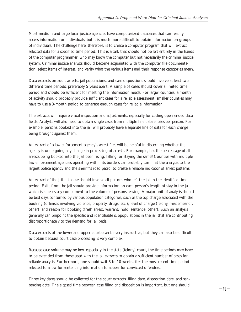Most medium and large local justice agencies have computerized databases that can readily access information on individuals, but it is much more difficult to obtain information on groups of individuals. The challenge here, therefore, is to create a computer program that will extract selected data for a specified time period. This is a task that should not be left entirely in the hands of the computer programmer, who may know the computer but not necessarily the criminal justice system. Criminal justice analysts should become acquainted with the computer file documentation, select items of interest, and verify what the various items and their response categories mean.

Data extracts on adult arrests, jail populations, and case dispositions should involve at least two different time periods, preferably 5 years apart. A sample of cases should cover a limited time period and should be sufficient for meeting the information needs. For larger counties, a month of activity should probably provide sufficient cases for a reliable assessment; smaller counties may have to use a 3-month period to generate enough cases for reliable information.

The extracts will require visual inspection and adjustments, especially for coding open-ended data fields. Analysts will also need to obtain single cases from multiple-line data entries per person. For example, persons booked into the jail will probably have a separate line of data for each charge being brought against them.

An extract of a law enforcement agency's arrest files will be helpful in discerning whether the agency is undergoing any change in processing of arrests. For example, has the percentage of all arrests being booked into the jail been rising, falling, or staying the same? Counties with multiple law enforcement agencies operating within its borders can probably can limit the analysis to the largest police agency and the sheriff's road patrol to create a reliable indicator of arrest patterns.

An extract of the jail database should involve all persons who left the jail in the identified time period. Exits from the jail should provide information on each person's length of stay in the jail, which is a necessary compliment to the volume of persons leaving. A major unit of analysis should be bed days consumed by various population categories, such as the top charge associated with the booking (offenses involving violence, property, drugs, etc.); level of charge (felony, misdemeanor, other); and reason for booking (fresh arrest, warrant/hold, sentence, other). Such an analysis generally can pinpoint the specific and identifiable subpopulations in the jail that are contributing disproportionately to the demand for jail beds.

Data extracts of the lower and upper courts can be very instructive, but they can also be difficult to obtain because court case processing is very complex.

Because case volume may be low, especially in the state (felony) court, the time periods may have to be extended from those used with the jail extracts to obtain a sufficient number of cases for reliable analysis. Furthermore, one should wait 8 to 10 weeks after the most recent time period selected to allow for sentencing information to appear for convicted offenders.

Three key dates should be collected for the court extracts: filing date, disposition date, and sentencing date. The elapsed time between case filing and disposition is important, but one should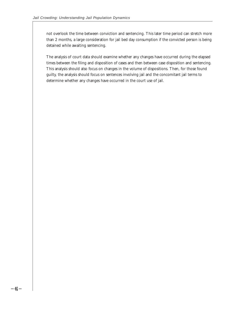not overlook the time between conviction and sentencing. This later time period can stretch more than 2 months, a large consideration for jail bed day consumption if the convicted person is being detained while awaiting sentencing.

The analysis of court data should examine whether any changes have occurred during the elapsed times between the filing and disposition of cases and then between case disposition and sentencing. This analysis should also focus on changes in the volume of dispositions. Then, for those found guilty, the analysis should focus on sentences involving jail and the concomitant jail terms to determine whether any changes have occurred in the court use of jail.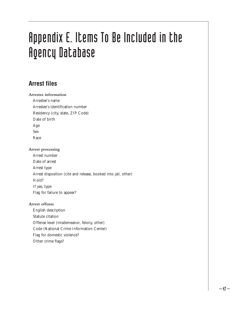# Appendix E. Items To Be Included in the Agency Database

# **Arrest files**

#### **Arrestee information**

Arrestee's name Arrestee's identification number Residency (city, state, ZIP Code) Date of birth Age Sex Race

#### **Arrest processing**

Arrest number Date of arrest Arrest type Arrest disposition (cite and release, booked into jail, other) Hold? If yes, type Flag for failure to appear?

#### **Arrest offense**

English description Statute citation Offense level (misdemeanor, felony, other) Code (National Crime Information Center) Flag for domestic violence? Other crime flags?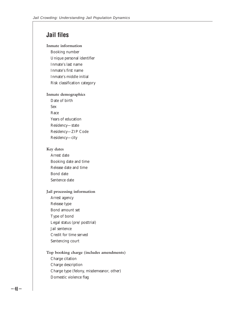### **Jail files**

#### **Inmate information**

Booking number Unique personal identifier Inmate's last name Inmate's first name Inmate's middle initial Risk classification category

#### **Inmate demographics**

Date of birth Sex Race Years of education Residency—state Residency—ZIP Code Residency—city

#### **Key dates**

Arrest date Booking date and time Release date and time Bond date Sentence date

#### **Jail processing information**

Arrest agency Release type Bond amount set Type of bond Legal status (pre/posttrial) Jail sentence Credit for time served Sentencing court

#### **Top booking charge (includes amendments)** Charge citation

Charge description Charge type (felony, misdemeanor, other) Domestic violence flag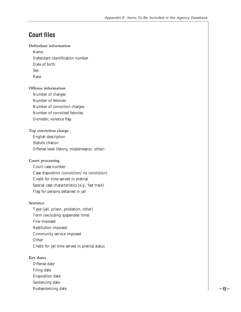### **Court files**

#### **Defendant information**

Name Defendant identification number Date of birth Sex Race

#### **Offense information**

Number of charges Number of felonies Number of conviction charges Number of convicted felonies Domestic violence flag

#### **Top conviction charge**

English description Statute citation Offense level (felony, misdemeanor, other)

#### **Court processing**

Court case number Case disposition (conviction/no conviction) Credit for time served in pretrial Special case characteristics (e.g., fast track) Flag for persons detained in jail

#### **Sentence**

Type (jail, prison, probation, other) Term (excluding suspended time) Fine imposed Restitution imposed Community service imposed **Other** Credit for jail time served in pretrial status

#### **Key dates**

Offense date Filing date Disposition date Sentencing date Postsentencing date  $-49 -$